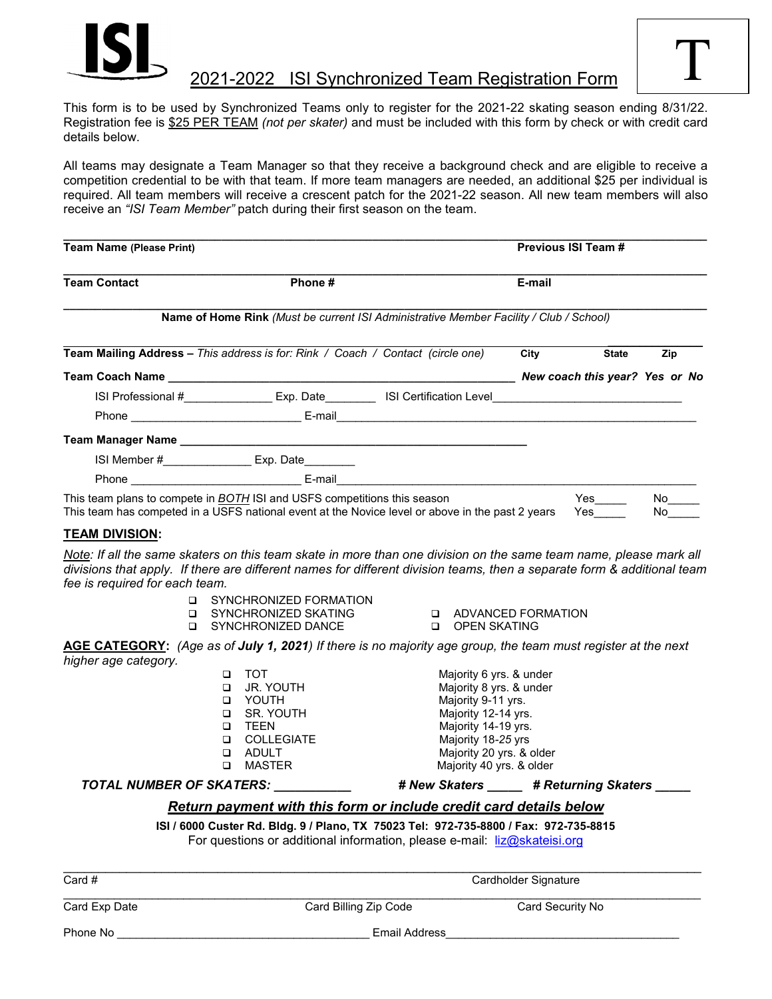

## 2021-2022 ISI Synchronized Team Registration Form

This form is to be used by Synchronized Teams only to register for the 2021-22 skating season ending 8/31/22. Registration fee is \$25 PER TEAM *(not per skater)* and must be included with this form by check or with credit card details below.

All teams may designate a Team Manager so that they receive a background check and are eligible to receive a competition credential to be with that team. If more team managers are needed, an additional \$25 per individual is required. All team members will receive a crescent patch for the 2021-22 season. All new team members will also receive an *"ISI Team Member"* patch during their first season on the team.

| Team Name (Please Print)<br><b>Team Contact</b><br>Phone #                                       |                                                      |                                                                                                                                                                                                                                | Previous ISI Team #<br>E-mail |                                |     |
|--------------------------------------------------------------------------------------------------|------------------------------------------------------|--------------------------------------------------------------------------------------------------------------------------------------------------------------------------------------------------------------------------------|-------------------------------|--------------------------------|-----|
|                                                                                                  |                                                      |                                                                                                                                                                                                                                |                               |                                |     |
| <b>Team Mailing Address – This address is for: Rink / Coach / Contact (circle one)</b>           |                                                      |                                                                                                                                                                                                                                | City                          | <b>State</b>                   | Zip |
|                                                                                                  |                                                      |                                                                                                                                                                                                                                |                               | New coach this year? Yes or No |     |
|                                                                                                  | ISI Professional # Exp. Date ISI Certification Level |                                                                                                                                                                                                                                |                               |                                |     |
|                                                                                                  |                                                      |                                                                                                                                                                                                                                |                               |                                |     |
| Team Manager Name                                                                                |                                                      |                                                                                                                                                                                                                                |                               |                                |     |
|                                                                                                  | ISI Member # Exp. Date                               |                                                                                                                                                                                                                                |                               |                                |     |
|                                                                                                  | Phone <b>E-mail</b>                                  |                                                                                                                                                                                                                                |                               |                                |     |
| This team plans to compete in BOTH ISI and USFS competitions this season                         |                                                      | Yes and the monopolic controllers and responsibilities in the set of the set of the set of the set of the set of the set of the set of the set of the set of the set of the set of the set of the set of the set of the set of | No l                          |                                |     |
| This team has competed in a USFS national event at the Novice level or above in the past 2 years |                                                      |                                                                                                                                                                                                                                |                               | Yes                            | No. |

#### **TEAM DIVISION:**

*Note: If all the same skaters on this team skate in more than one division on the same team name, please mark all divisions that apply. If there are different names for different division teams, then a separate form & additional team fee is required for each team.*

- **D** SYNCHRONIZED FORMATION
- □ SYNCHRONIZED SKATING
- **Q** SYNCHRONIZED DANCE
- **Q ADVANCED FORMATION**
- OPEN SKATING

**AGE CATEGORY:** *(Age as of July 1, 2021) If there is no majority age group, the team must register at the next higher age category.*

| □ | TOT               |
|---|-------------------|
| □ | JR. YOUTH         |
| ◻ | YOUTH             |
| ◻ | SR. YOUTH         |
| □ | TFFN              |
| □ | <b>COLLEGIATF</b> |
| n | ADUI T            |

Majority 6 yrs. & under Majority 8 yrs. & under Majority 9-11 yrs. Majority 12-14 yrs. Majority 14-19 yrs. Majority 18-25 yrs Majority 20 yrs. & older □ MASTER Majority 40 yrs. & older

#### *TOTAL NUMBER OF SKATERS:* **\_\_\_\_\_\_\_\_\_\_\_** *# New Skaters* **\_\_\_\_\_** *# Returning Skaters* **\_\_\_\_\_**

### *Return payment with this form or include credit card details below*

**ISI / 6000 Custer Rd. Bldg. 9 / Plano, TX 75023 Tel: 972-735-8800 / Fax: 972-735-8815** For questions or additional information, please e-mail: [liz@skateisi.org](mailto:liz@skateisi.org)

\_\_\_\_\_\_\_\_\_\_\_\_\_\_\_\_\_\_\_\_\_\_\_\_\_\_\_\_\_\_\_\_\_\_\_\_\_\_\_\_\_\_\_\_\_\_\_\_\_\_\_\_\_\_\_\_\_\_\_\_\_\_\_\_\_\_\_\_\_\_\_\_\_\_\_\_\_\_\_\_\_\_\_\_\_\_\_\_\_\_\_

Card Exp Date Card Billing Zip Code Card Security No

Card # Cardholder Signature  $\overline{c}$ \_\_\_\_\_\_\_\_\_\_\_\_\_\_\_\_\_\_\_\_\_\_\_\_\_\_\_\_\_\_\_\_\_\_\_\_\_\_\_\_\_\_\_\_\_\_\_\_\_\_\_\_\_\_\_\_\_\_\_\_\_\_\_\_\_\_\_\_\_\_\_\_\_\_\_\_\_\_\_\_\_\_\_\_\_\_\_\_\_\_\_\_\_\_\_\_\_\_\_\_\_